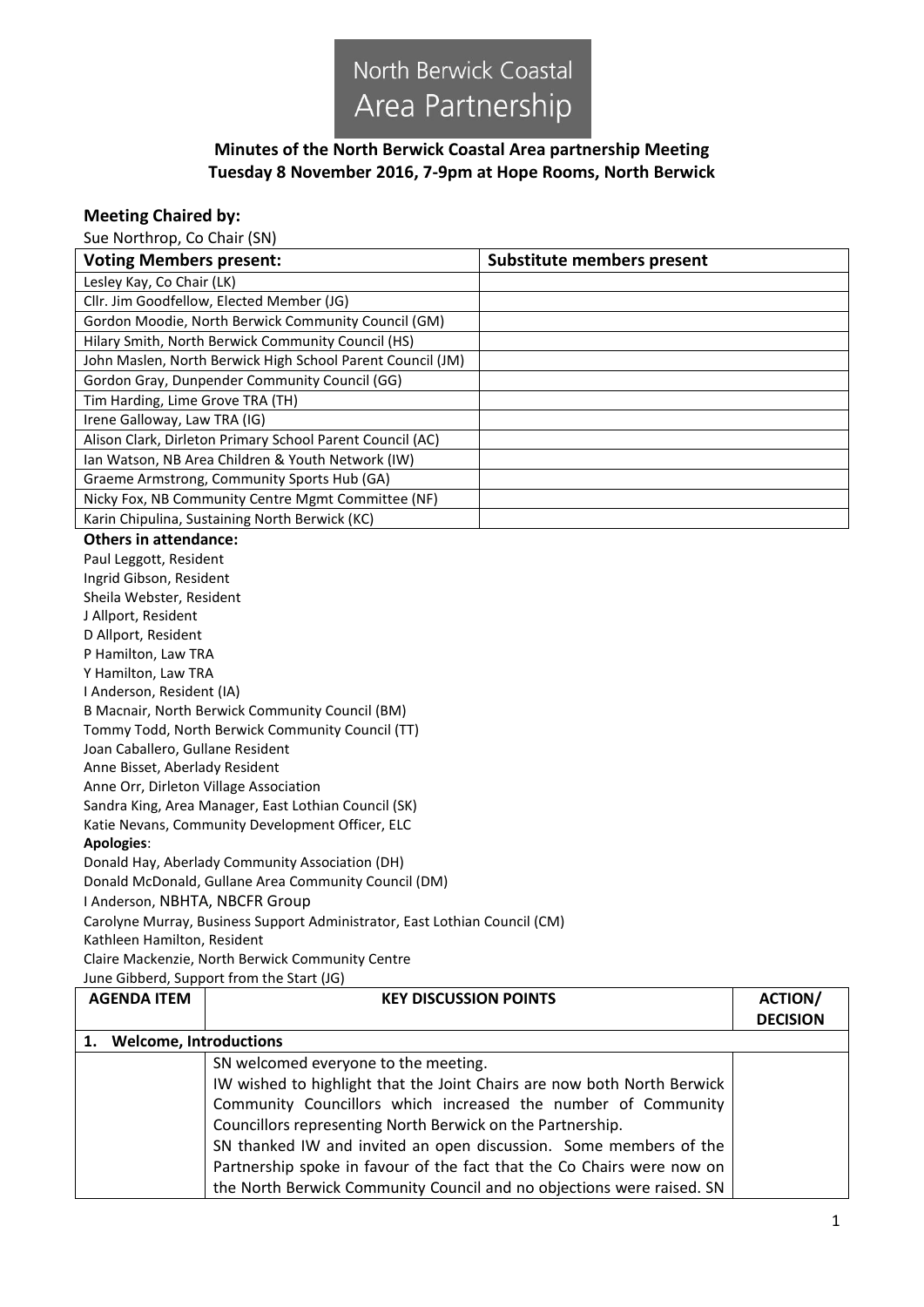

## **Minutes of the North Berwick Coastal Area partnership Meeting Tuesday 8 November 2016, 7-9pm at Hope Rooms, North Berwick**

## **Meeting Chaired by:**

Sue Northrop, Co Chair (SN)

| <b>Voting Members present:</b>                                                                               |                                                                                                         | <b>Substitute members present</b> |                 |
|--------------------------------------------------------------------------------------------------------------|---------------------------------------------------------------------------------------------------------|-----------------------------------|-----------------|
| Lesley Kay, Co Chair (LK)                                                                                    |                                                                                                         |                                   |                 |
|                                                                                                              | Cllr. Jim Goodfellow, Elected Member (JG)                                                               |                                   |                 |
|                                                                                                              | Gordon Moodie, North Berwick Community Council (GM)                                                     |                                   |                 |
|                                                                                                              | Hilary Smith, North Berwick Community Council (HS)                                                      |                                   |                 |
| John Maslen, North Berwick High School Parent Council (JM)                                                   |                                                                                                         |                                   |                 |
|                                                                                                              | Gordon Gray, Dunpender Community Council (GG)                                                           |                                   |                 |
| Tim Harding, Lime Grove TRA (TH)                                                                             |                                                                                                         |                                   |                 |
| Irene Galloway, Law TRA (IG)                                                                                 |                                                                                                         |                                   |                 |
|                                                                                                              | Alison Clark, Dirleton Primary School Parent Council (AC)                                               |                                   |                 |
|                                                                                                              | Ian Watson, NB Area Children & Youth Network (IW)                                                       |                                   |                 |
|                                                                                                              | Graeme Armstrong, Community Sports Hub (GA)                                                             |                                   |                 |
|                                                                                                              | Nicky Fox, NB Community Centre Mgmt Committee (NF)                                                      |                                   |                 |
|                                                                                                              | Karin Chipulina, Sustaining North Berwick (KC)                                                          |                                   |                 |
| <b>Others in attendance:</b>                                                                                 |                                                                                                         |                                   |                 |
| Paul Leggott, Resident                                                                                       |                                                                                                         |                                   |                 |
| Ingrid Gibson, Resident                                                                                      |                                                                                                         |                                   |                 |
| Sheila Webster, Resident                                                                                     |                                                                                                         |                                   |                 |
| J Allport, Resident                                                                                          |                                                                                                         |                                   |                 |
| D Allport, Resident                                                                                          |                                                                                                         |                                   |                 |
| P Hamilton, Law TRA                                                                                          |                                                                                                         |                                   |                 |
| Y Hamilton, Law TRA                                                                                          |                                                                                                         |                                   |                 |
| I Anderson, Resident (IA)                                                                                    |                                                                                                         |                                   |                 |
|                                                                                                              | B Macnair, North Berwick Community Council (BM)                                                         |                                   |                 |
| Tommy Todd, North Berwick Community Council (TT)                                                             |                                                                                                         |                                   |                 |
| Joan Caballero, Gullane Resident                                                                             |                                                                                                         |                                   |                 |
| Anne Bisset, Aberlady Resident                                                                               |                                                                                                         |                                   |                 |
| Anne Orr, Dirleton Village Association                                                                       |                                                                                                         |                                   |                 |
| Sandra King, Area Manager, East Lothian Council (SK)                                                         |                                                                                                         |                                   |                 |
| Katie Nevans, Community Development Officer, ELC                                                             |                                                                                                         |                                   |                 |
| Apologies:                                                                                                   |                                                                                                         |                                   |                 |
|                                                                                                              | Donald Hay, Aberlady Community Association (DH)<br>Donald McDonald, Gullane Area Community Council (DM) |                                   |                 |
|                                                                                                              |                                                                                                         |                                   |                 |
| I Anderson, NBHTA, NBCFR Group<br>Carolyne Murray, Business Support Administrator, East Lothian Council (CM) |                                                                                                         |                                   |                 |
| Kathleen Hamilton, Resident                                                                                  |                                                                                                         |                                   |                 |
|                                                                                                              | Claire Mackenzie, North Berwick Community Centre                                                        |                                   |                 |
|                                                                                                              | June Gibberd, Support from the Start (JG)                                                               |                                   |                 |
| <b>AGENDA ITEM</b>                                                                                           | <b>KEY DISCUSSION POINTS</b>                                                                            |                                   | <b>ACTION/</b>  |
|                                                                                                              |                                                                                                         |                                   | <b>DECISION</b> |
| <b>Welcome, Introductions</b><br>1.                                                                          |                                                                                                         |                                   |                 |
|                                                                                                              | SN welcomed everyone to the meeting.                                                                    |                                   |                 |
|                                                                                                              | IW wished to highlight that the Joint Chairs are now both North Berwick                                 |                                   |                 |
|                                                                                                              | Community Councillors which increased the number of Community                                           |                                   |                 |
|                                                                                                              |                                                                                                         |                                   |                 |
|                                                                                                              | Councillors representing North Berwick on the Partnership.                                              |                                   |                 |
|                                                                                                              | SN thanked IW and invited an open discussion. Some members of the                                       |                                   |                 |
|                                                                                                              | Partnership spoke in favour of the fact that the Co Chairs were now on                                  |                                   |                 |
|                                                                                                              | the North Berwick Community Council and no objections were raised. SN                                   |                                   |                 |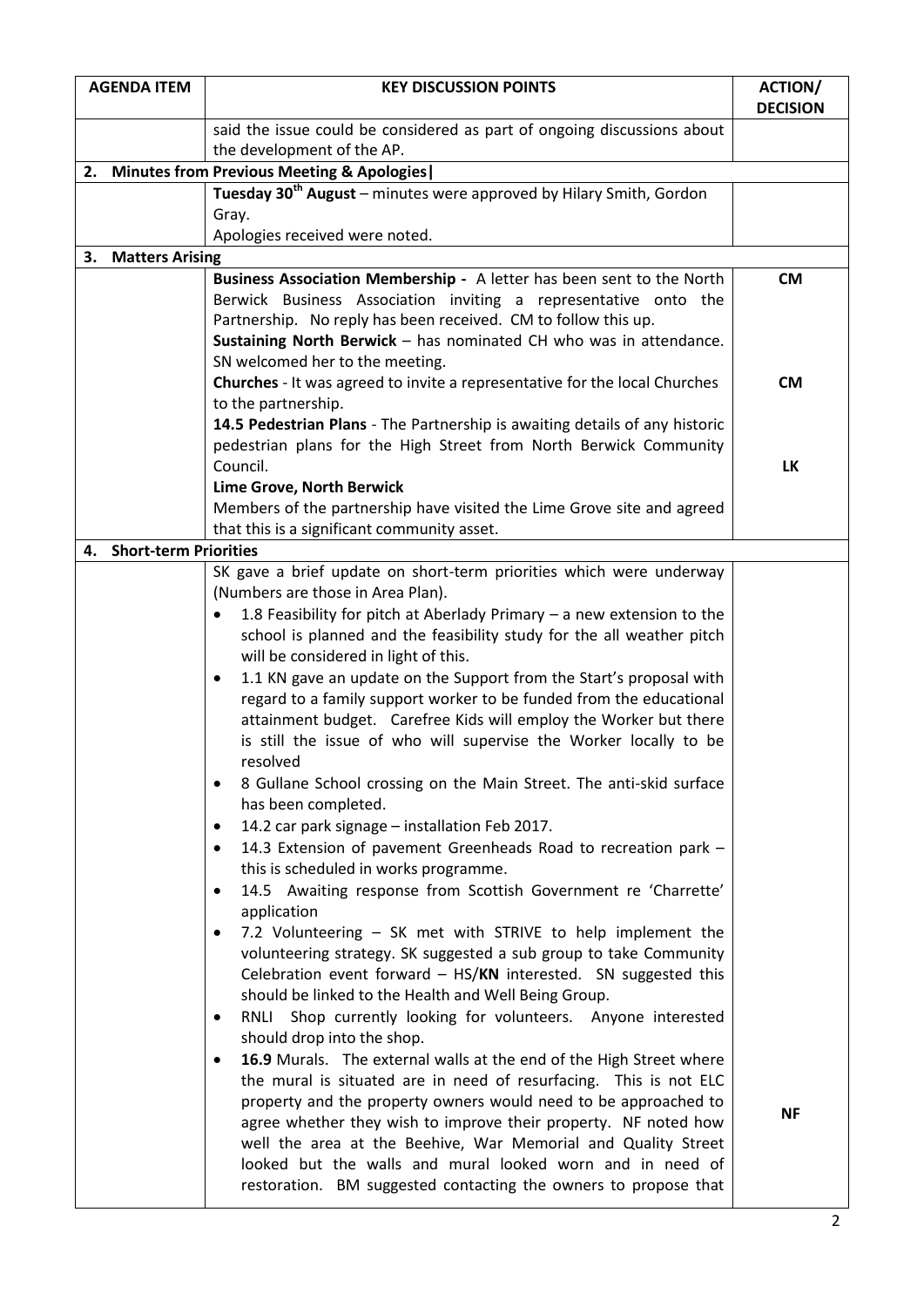| <b>AGENDA ITEM</b>                           | <b>KEY DISCUSSION POINTS</b>                                                                                                         | <b>ACTION/</b>  |  |
|----------------------------------------------|--------------------------------------------------------------------------------------------------------------------------------------|-----------------|--|
|                                              | said the issue could be considered as part of ongoing discussions about                                                              | <b>DECISION</b> |  |
|                                              | the development of the AP.                                                                                                           |                 |  |
| 2. Minutes from Previous Meeting & Apologies |                                                                                                                                      |                 |  |
|                                              | Tuesday 30 <sup>th</sup> August - minutes were approved by Hilary Smith, Gordon                                                      |                 |  |
|                                              | Gray.                                                                                                                                |                 |  |
|                                              | Apologies received were noted.                                                                                                       |                 |  |
| <b>Matters Arising</b><br>3.                 |                                                                                                                                      |                 |  |
|                                              | Business Association Membership - A letter has been sent to the North                                                                | <b>CM</b>       |  |
|                                              | Berwick Business Association inviting a representative onto the                                                                      |                 |  |
|                                              | Partnership. No reply has been received. CM to follow this up.<br>Sustaining North Berwick - has nominated CH who was in attendance. |                 |  |
|                                              | SN welcomed her to the meeting.                                                                                                      |                 |  |
|                                              | <b>Churches</b> - It was agreed to invite a representative for the local Churches                                                    | <b>CM</b>       |  |
|                                              | to the partnership.                                                                                                                  |                 |  |
|                                              | 14.5 Pedestrian Plans - The Partnership is awaiting details of any historic                                                          |                 |  |
|                                              | pedestrian plans for the High Street from North Berwick Community                                                                    |                 |  |
|                                              | Council.                                                                                                                             | LK              |  |
|                                              | Lime Grove, North Berwick                                                                                                            |                 |  |
|                                              | Members of the partnership have visited the Lime Grove site and agreed                                                               |                 |  |
| <b>Short-term Priorities</b><br>4.           | that this is a significant community asset.                                                                                          |                 |  |
|                                              | SK gave a brief update on short-term priorities which were underway                                                                  |                 |  |
|                                              | (Numbers are those in Area Plan).                                                                                                    |                 |  |
|                                              | 1.8 Feasibility for pitch at Aberlady Primary $-$ a new extension to the                                                             |                 |  |
|                                              | school is planned and the feasibility study for the all weather pitch                                                                |                 |  |
|                                              | will be considered in light of this.                                                                                                 |                 |  |
|                                              | 1.1 KN gave an update on the Support from the Start's proposal with<br>٠                                                             |                 |  |
|                                              | regard to a family support worker to be funded from the educational                                                                  |                 |  |
|                                              | attainment budget. Carefree Kids will employ the Worker but there                                                                    |                 |  |
|                                              | is still the issue of who will supervise the Worker locally to be                                                                    |                 |  |
|                                              | resolved                                                                                                                             |                 |  |
|                                              | 8 Gullane School crossing on the Main Street. The anti-skid surface<br>٠<br>has been completed.                                      |                 |  |
|                                              | 14.2 car park signage - installation Feb 2017.<br>٠                                                                                  |                 |  |
|                                              | 14.3 Extension of pavement Greenheads Road to recreation park -<br>٠                                                                 |                 |  |
|                                              | this is scheduled in works programme.                                                                                                |                 |  |
|                                              | 14.5 Awaiting response from Scottish Government re 'Charrette'<br>٠                                                                  |                 |  |
|                                              | application                                                                                                                          |                 |  |
|                                              | 7.2 Volunteering - SK met with STRIVE to help implement the<br>٠                                                                     |                 |  |
|                                              | volunteering strategy. SK suggested a sub group to take Community                                                                    |                 |  |
|                                              | Celebration event forward - HS/KN interested. SN suggested this                                                                      |                 |  |
|                                              | should be linked to the Health and Well Being Group.                                                                                 |                 |  |
|                                              | Shop currently looking for volunteers. Anyone interested<br>RNLI<br>٠<br>should drop into the shop.                                  |                 |  |
|                                              | 16.9 Murals. The external walls at the end of the High Street where<br>٠                                                             |                 |  |
|                                              | the mural is situated are in need of resurfacing. This is not ELC                                                                    |                 |  |
|                                              | property and the property owners would need to be approached to                                                                      |                 |  |
|                                              | agree whether they wish to improve their property. NF noted how                                                                      | <b>NF</b>       |  |
|                                              | well the area at the Beehive, War Memorial and Quality Street                                                                        |                 |  |
|                                              | looked but the walls and mural looked worn and in need of                                                                            |                 |  |
|                                              | restoration. BM suggested contacting the owners to propose that                                                                      |                 |  |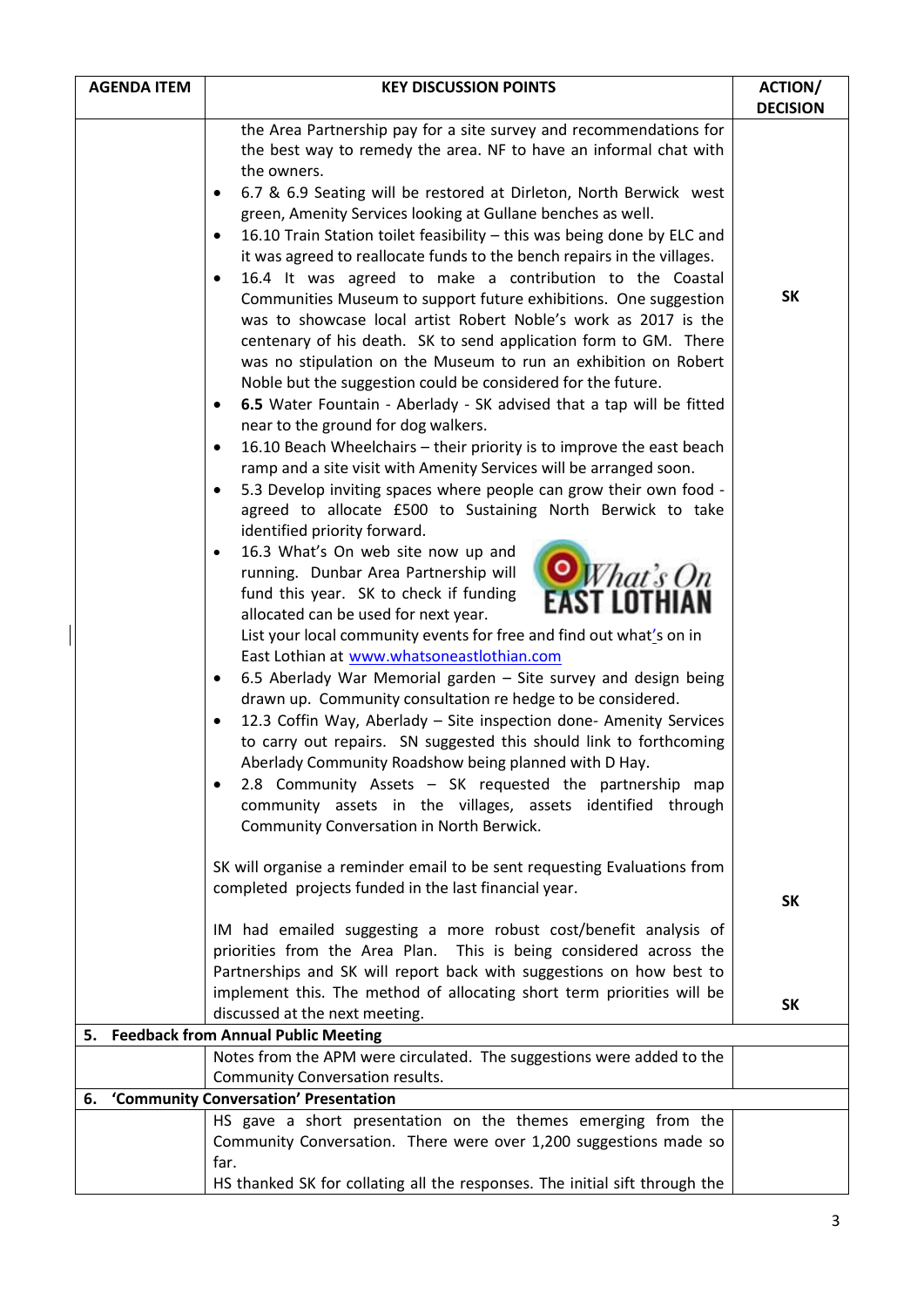|    | <b>AGENDA ITEM</b> | <b>KEY DISCUSSION POINTS</b>                                                                                                                                                                                                                                                                                                                                                                                                                                                                                                                                                                                                                                                                                                                                                                                                                                                                                                                                                                                                                                                                                                                                                                                                                                                                                                                                                                                                                                                                                                                                                                                                                                                                                                                                                                                                                                                                                                                                                                                                                                                                                                                                                  | <b>ACTION/</b>  |
|----|--------------------|-------------------------------------------------------------------------------------------------------------------------------------------------------------------------------------------------------------------------------------------------------------------------------------------------------------------------------------------------------------------------------------------------------------------------------------------------------------------------------------------------------------------------------------------------------------------------------------------------------------------------------------------------------------------------------------------------------------------------------------------------------------------------------------------------------------------------------------------------------------------------------------------------------------------------------------------------------------------------------------------------------------------------------------------------------------------------------------------------------------------------------------------------------------------------------------------------------------------------------------------------------------------------------------------------------------------------------------------------------------------------------------------------------------------------------------------------------------------------------------------------------------------------------------------------------------------------------------------------------------------------------------------------------------------------------------------------------------------------------------------------------------------------------------------------------------------------------------------------------------------------------------------------------------------------------------------------------------------------------------------------------------------------------------------------------------------------------------------------------------------------------------------------------------------------------|-----------------|
|    |                    |                                                                                                                                                                                                                                                                                                                                                                                                                                                                                                                                                                                                                                                                                                                                                                                                                                                                                                                                                                                                                                                                                                                                                                                                                                                                                                                                                                                                                                                                                                                                                                                                                                                                                                                                                                                                                                                                                                                                                                                                                                                                                                                                                                               | <b>DECISION</b> |
|    |                    | the Area Partnership pay for a site survey and recommendations for<br>the best way to remedy the area. NF to have an informal chat with<br>the owners.<br>6.7 & 6.9 Seating will be restored at Dirleton, North Berwick west<br>٠<br>green, Amenity Services looking at Gullane benches as well.<br>16.10 Train Station toilet feasibility - this was being done by ELC and<br>$\bullet$<br>it was agreed to reallocate funds to the bench repairs in the villages.<br>16.4 It was agreed to make a contribution to the Coastal<br>٠<br>Communities Museum to support future exhibitions. One suggestion<br>was to showcase local artist Robert Noble's work as 2017 is the<br>centenary of his death. SK to send application form to GM. There<br>was no stipulation on the Museum to run an exhibition on Robert<br>Noble but the suggestion could be considered for the future.<br>6.5 Water Fountain - Aberlady - SK advised that a tap will be fitted<br>$\bullet$<br>near to the ground for dog walkers.<br>16.10 Beach Wheelchairs - their priority is to improve the east beach<br>٠<br>ramp and a site visit with Amenity Services will be arranged soon.<br>5.3 Develop inviting spaces where people can grow their own food -<br>$\bullet$<br>agreed to allocate £500 to Sustaining North Berwick to take<br>identified priority forward.<br>16.3 What's On web site now up and<br>$\bullet$<br><b>O</b> What's On<br>running. Dunbar Area Partnership will<br>fund this year. SK to check if funding<br>allocated can be used for next year.<br>List your local community events for free and find out what's on in<br>East Lothian at www.whatsoneastlothian.com<br>6.5 Aberlady War Memorial garden - Site survey and design being<br>٠<br>drawn up. Community consultation re hedge to be considered.<br>12.3 Coffin Way, Aberlady - Site inspection done- Amenity Services<br>$\bullet$<br>to carry out repairs. SN suggested this should link to forthcoming<br>Aberlady Community Roadshow being planned with D Hay.<br>2.8 Community Assets - SK requested the partnership map<br>$\bullet$<br>community assets in the villages, assets identified through | <b>SK</b>       |
|    |                    | Community Conversation in North Berwick.<br>SK will organise a reminder email to be sent requesting Evaluations from<br>completed projects funded in the last financial year.                                                                                                                                                                                                                                                                                                                                                                                                                                                                                                                                                                                                                                                                                                                                                                                                                                                                                                                                                                                                                                                                                                                                                                                                                                                                                                                                                                                                                                                                                                                                                                                                                                                                                                                                                                                                                                                                                                                                                                                                 | <b>SK</b>       |
|    |                    | IM had emailed suggesting a more robust cost/benefit analysis of<br>priorities from the Area Plan. This is being considered across the<br>Partnerships and SK will report back with suggestions on how best to<br>implement this. The method of allocating short term priorities will be<br>discussed at the next meeting.                                                                                                                                                                                                                                                                                                                                                                                                                                                                                                                                                                                                                                                                                                                                                                                                                                                                                                                                                                                                                                                                                                                                                                                                                                                                                                                                                                                                                                                                                                                                                                                                                                                                                                                                                                                                                                                    | <b>SK</b>       |
| 5. |                    | <b>Feedback from Annual Public Meeting</b>                                                                                                                                                                                                                                                                                                                                                                                                                                                                                                                                                                                                                                                                                                                                                                                                                                                                                                                                                                                                                                                                                                                                                                                                                                                                                                                                                                                                                                                                                                                                                                                                                                                                                                                                                                                                                                                                                                                                                                                                                                                                                                                                    |                 |
|    |                    | Notes from the APM were circulated. The suggestions were added to the                                                                                                                                                                                                                                                                                                                                                                                                                                                                                                                                                                                                                                                                                                                                                                                                                                                                                                                                                                                                                                                                                                                                                                                                                                                                                                                                                                                                                                                                                                                                                                                                                                                                                                                                                                                                                                                                                                                                                                                                                                                                                                         |                 |
|    |                    | Community Conversation results.                                                                                                                                                                                                                                                                                                                                                                                                                                                                                                                                                                                                                                                                                                                                                                                                                                                                                                                                                                                                                                                                                                                                                                                                                                                                                                                                                                                                                                                                                                                                                                                                                                                                                                                                                                                                                                                                                                                                                                                                                                                                                                                                               |                 |
| 6. |                    | 'Community Conversation' Presentation                                                                                                                                                                                                                                                                                                                                                                                                                                                                                                                                                                                                                                                                                                                                                                                                                                                                                                                                                                                                                                                                                                                                                                                                                                                                                                                                                                                                                                                                                                                                                                                                                                                                                                                                                                                                                                                                                                                                                                                                                                                                                                                                         |                 |
|    |                    | HS gave a short presentation on the themes emerging from the<br>Community Conversation. There were over 1,200 suggestions made so<br>far.<br>HS thanked SK for collating all the responses. The initial sift through the                                                                                                                                                                                                                                                                                                                                                                                                                                                                                                                                                                                                                                                                                                                                                                                                                                                                                                                                                                                                                                                                                                                                                                                                                                                                                                                                                                                                                                                                                                                                                                                                                                                                                                                                                                                                                                                                                                                                                      |                 |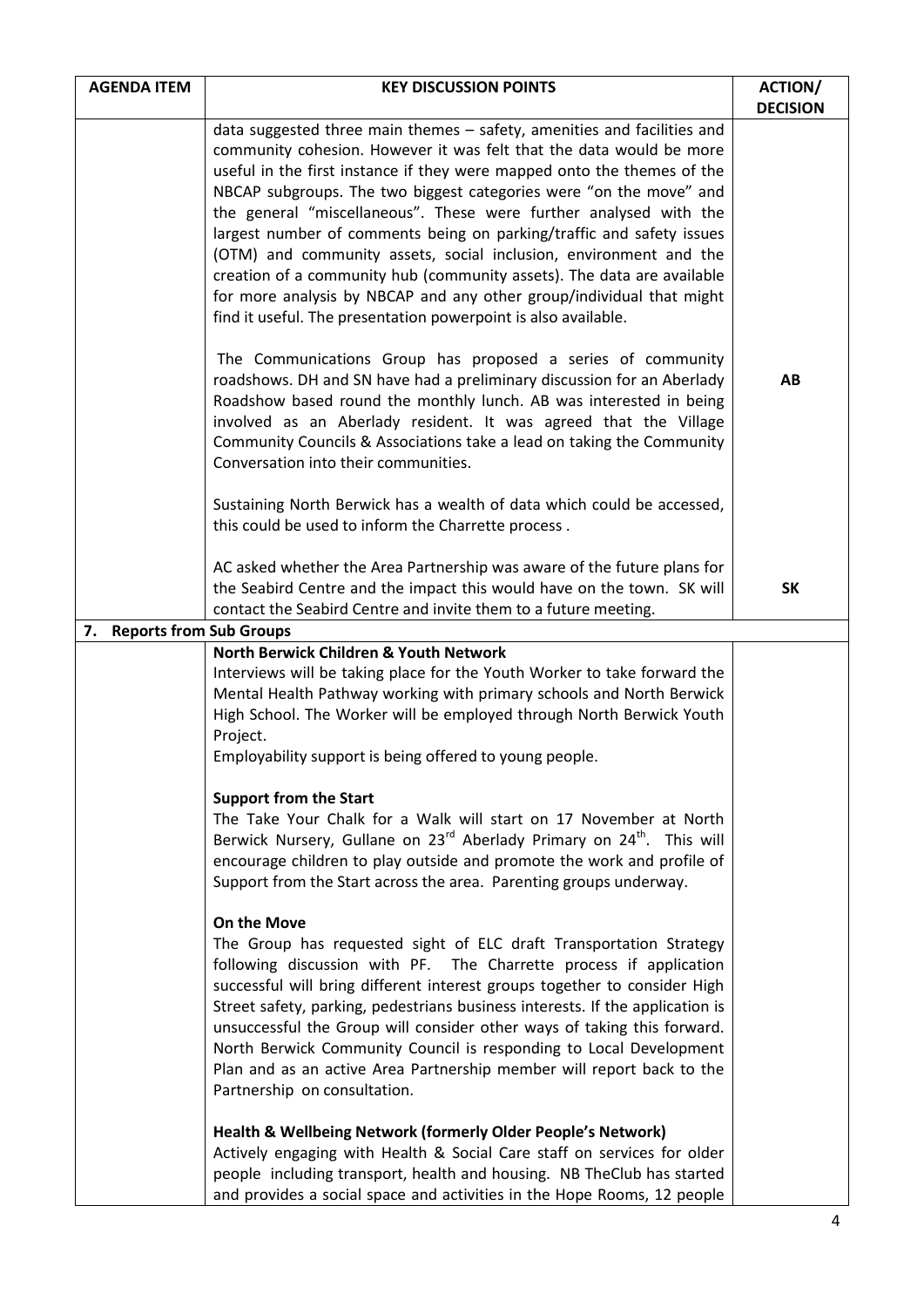| <b>AGENDA ITEM</b>                   | <b>KEY DISCUSSION POINTS</b>                                                                                                                                                                                                                                                                                                                                                                                                                                                                                                                                                                                                                                                                                                           | <b>ACTION/</b><br><b>DECISION</b> |
|--------------------------------------|----------------------------------------------------------------------------------------------------------------------------------------------------------------------------------------------------------------------------------------------------------------------------------------------------------------------------------------------------------------------------------------------------------------------------------------------------------------------------------------------------------------------------------------------------------------------------------------------------------------------------------------------------------------------------------------------------------------------------------------|-----------------------------------|
|                                      | data suggested three main themes - safety, amenities and facilities and<br>community cohesion. However it was felt that the data would be more<br>useful in the first instance if they were mapped onto the themes of the<br>NBCAP subgroups. The two biggest categories were "on the move" and<br>the general "miscellaneous". These were further analysed with the<br>largest number of comments being on parking/traffic and safety issues<br>(OTM) and community assets, social inclusion, environment and the<br>creation of a community hub (community assets). The data are available<br>for more analysis by NBCAP and any other group/individual that might<br>find it useful. The presentation powerpoint is also available. |                                   |
|                                      | The Communications Group has proposed a series of community<br>roadshows. DH and SN have had a preliminary discussion for an Aberlady<br>Roadshow based round the monthly lunch. AB was interested in being<br>involved as an Aberlady resident. It was agreed that the Village<br>Community Councils & Associations take a lead on taking the Community<br>Conversation into their communities.                                                                                                                                                                                                                                                                                                                                       | AB                                |
|                                      | Sustaining North Berwick has a wealth of data which could be accessed,<br>this could be used to inform the Charrette process.                                                                                                                                                                                                                                                                                                                                                                                                                                                                                                                                                                                                          |                                   |
|                                      | AC asked whether the Area Partnership was aware of the future plans for<br>the Seabird Centre and the impact this would have on the town. SK will<br>contact the Seabird Centre and invite them to a future meeting.                                                                                                                                                                                                                                                                                                                                                                                                                                                                                                                   | <b>SK</b>                         |
| <b>Reports from Sub Groups</b><br>7. |                                                                                                                                                                                                                                                                                                                                                                                                                                                                                                                                                                                                                                                                                                                                        |                                   |
|                                      | North Berwick Children & Youth Network<br>Interviews will be taking place for the Youth Worker to take forward the<br>Mental Health Pathway working with primary schools and North Berwick<br>High School. The Worker will be employed through North Berwick Youth<br>Project.<br>Employability support is being offered to young people.                                                                                                                                                                                                                                                                                                                                                                                              |                                   |
|                                      | <b>Support from the Start</b><br>The Take Your Chalk for a Walk will start on 17 November at North<br>Berwick Nursery, Gullane on 23 <sup>rd</sup> Aberlady Primary on 24 <sup>th</sup> . This will<br>encourage children to play outside and promote the work and profile of<br>Support from the Start across the area. Parenting groups underway.                                                                                                                                                                                                                                                                                                                                                                                    |                                   |
|                                      | On the Move<br>The Group has requested sight of ELC draft Transportation Strategy<br>following discussion with PF. The Charrette process if application<br>successful will bring different interest groups together to consider High<br>Street safety, parking, pedestrians business interests. If the application is<br>unsuccessful the Group will consider other ways of taking this forward.<br>North Berwick Community Council is responding to Local Development<br>Plan and as an active Area Partnership member will report back to the<br>Partnership on consultation.                                                                                                                                                        |                                   |
|                                      | Health & Wellbeing Network (formerly Older People's Network)<br>Actively engaging with Health & Social Care staff on services for older<br>people including transport, health and housing. NB TheClub has started<br>and provides a social space and activities in the Hope Rooms, 12 people                                                                                                                                                                                                                                                                                                                                                                                                                                           |                                   |